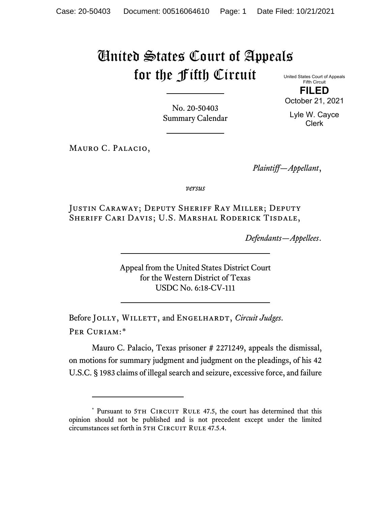## United States Court of Appeals for the Fifth Circuit

United States Court of Appeals Fifth Circuit **FILED**

October 21, 2021

Lyle W. Cayce Clerk

No. 20-50403 Summary Calendar

Mauro C. Palacio,

*Plaintiff—Appellant*,

*versus*

Justin Caraway; Deputy Sheriff Ray Miller; Deputy Sheriff Cari Davis; U.S. Marshal Roderick Tisdale,

*Defendants—Appellees*.

Appeal from the United States District Court for the Western District of Texas USDC No. 6:18-CV-111

Before JOLLY, WILLETT, and ENGELHARDT, *Circuit Judges*. Per Curiam:[\\*](#page-0-0)

Mauro C. Palacio, Texas prisoner # 2271249, appeals the dismissal, on motions for summary judgment and judgment on the pleadings, of his 42 U.S.C. § 1983 claims of illegal search and seizure, excessive force, and failure

<span id="page-0-0"></span><sup>\*</sup> Pursuant to 5TH CIRCUIT RULE 47.5, the court has determined that this opinion should not be published and is not precedent except under the limited circumstances set forth in 5TH CIRCUIT RULE 47.5.4.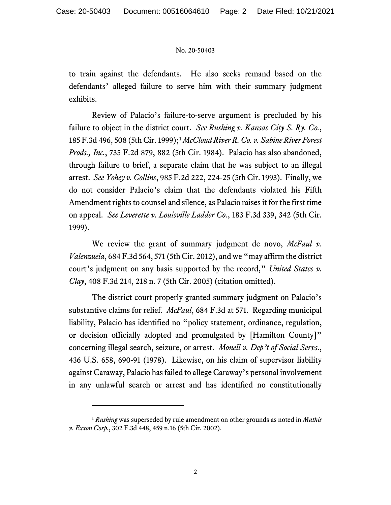## No. 20-50403

to train against the defendants. He also seeks remand based on the defendants' alleged failure to serve him with their summary judgment exhibits.

Review of Palacio's failure-to-serve argument is precluded by his failure to object in the district court. *See Rushing v. Kansas City S. Ry. Co.*, 185 F.3d 496, 508 (5th Cir. 1999);[1](#page-1-0) *McCloud River R. Co. v. Sabine River Forest Prods., Inc.*, 735 F.2d 879, 882 (5th Cir. 1984). Palacio has also abandoned, through failure to brief, a separate claim that he was subject to an illegal arrest. *See Yohey v. Collins*, 985 F.2d 222, 224-25 (5th Cir. 1993). Finally, we do not consider Palacio's claim that the defendants violated his Fifth Amendment rights to counsel and silence, as Palacio raises it for the first time on appeal. *See Leverette v. Louisville Ladder Co.*, 183 F.3d 339, 342 (5th Cir. 1999).

We review the grant of summary judgment de novo, *McFaul v. Valenzuela*, 684 F.3d 564, 571 (5th Cir. 2012), and we "may affirm the district court's judgment on any basis supported by the record," *United States v. Clay*, 408 F.3d 214, 218 n. 7 (5th Cir. 2005) (citation omitted).

The district court properly granted summary judgment on Palacio's substantive claims for relief. *McFaul*, 684 F.3d at 571. Regarding municipal liability, Palacio has identified no "policy statement, ordinance, regulation, or decision officially adopted and promulgated by [Hamilton County]" concerning illegal search, seizure, or arrest. *Monell v. Dep't of Social Servs*., 436 U.S. 658, 690-91 (1978). Likewise, on his claim of supervisor liability against Caraway, Palacio hasfailed to allege Caraway's personal involvement in any unlawful search or arrest and has identified no constitutionally

<span id="page-1-0"></span><sup>1</sup> *Rushing* was superseded by rule amendment on other grounds as noted in *Mathis v. Exxon Corp.*, 302 F.3d 448, 459 n.16 (5th Cir. 2002).